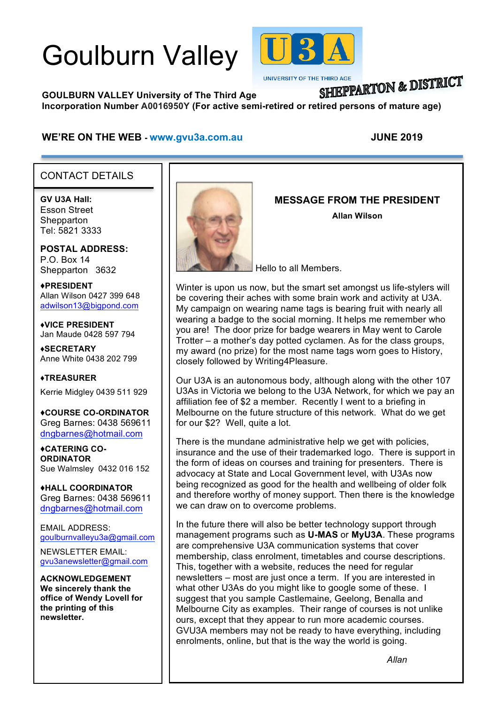# Goulburn Valley



**UNIVERSITY OF THE THIRD AGE** 

## SHIEPPARTON & DISTRICT

**GOULBURN VALLEY University of The Third Age Incorporation Number A0016950Y (For active semi-retired or retired persons of mature age)**

#### **WE'RE ON THE WEB - www.gvu3a.com.au JUNE 2019**

#### CONTACT DETAILS

**GV U3A Hall:** Esson Street **Shepparton** Tel: 5821 3333

ī

**POSTAL ADDRESS:** P.O. Box 14 Shepparton 3632

♦**PRESIDENT** Allan Wilson 0427 399 648 adwilson13@bigpond.com

♦**VICE PRESIDENT** Jan Maude 0428 597 794

**♦SECRETARY** Anne White 0438 202 799

**♦TREASURER** Kerrie Midgley 0439 511 929

♦**COURSE CO-ORDINATOR** Greg Barnes: 0438 569611 dngbarnes@hotmail.com

♦**CATERING CO-ORDINATOR** Sue Walmsley 0432 016 152

♦**HALL COORDINATOR** Greg Barnes: 0438 569611 dngbarnes@hotmail.com

EMAIL ADDRESS: goulburnvalleyu3a@gmail.com

NEWSLETTER EMAIL: gvu3anewsletter@gmail.com

**ACKNOWLEDGEMENT We sincerely thank the office of Wendy Lovell for the printing of this newsletter.**



#### **MESSAGE FROM THE PRESIDENT**

**Allan Wilson**

Hello to all Members.

Winter is upon us now, but the smart set amongst us life-stylers will be covering their aches with some brain work and activity at U3A. My campaign on wearing name tags is bearing fruit with nearly all wearing a badge to the social morning. It helps me remember who you are! The door prize for badge wearers in May went to Carole Trotter – a mother's day potted cyclamen. As for the class groups, my award (no prize) for the most name tags worn goes to History, closely followed by Writing4Pleasure.

Our U3A is an autonomous body, although along with the other 107 U3As in Victoria we belong to the U3A Network, for which we pay an affiliation fee of \$2 a member. Recently I went to a briefing in Melbourne on the future structure of this network. What do we get for our \$2? Well, quite a lot.

There is the mundane administrative help we get with policies, insurance and the use of their trademarked logo. There is support in the form of ideas on courses and training for presenters. There is advocacy at State and Local Government level, with U3As now being recognized as good for the health and wellbeing of older folk and therefore worthy of money support. Then there is the knowledge we can draw on to overcome problems.

In the future there will also be better technology support through management programs such as **U-MAS** or **MyU3A**. These programs are comprehensive U3A communication systems that cover membership, class enrolment, timetables and course descriptions. This, together with a website, reduces the need for regular newsletters – most are just once a term. If you are interested in what other U3As do you might like to google some of these. I suggest that you sample Castlemaine, Geelong, Benalla and Melbourne City as examples. Their range of courses is not unlike ours, except that they appear to run more academic courses. GVU3A members may not be ready to have everything, including enrolments, online, but that is the way the world is going.

*Allan*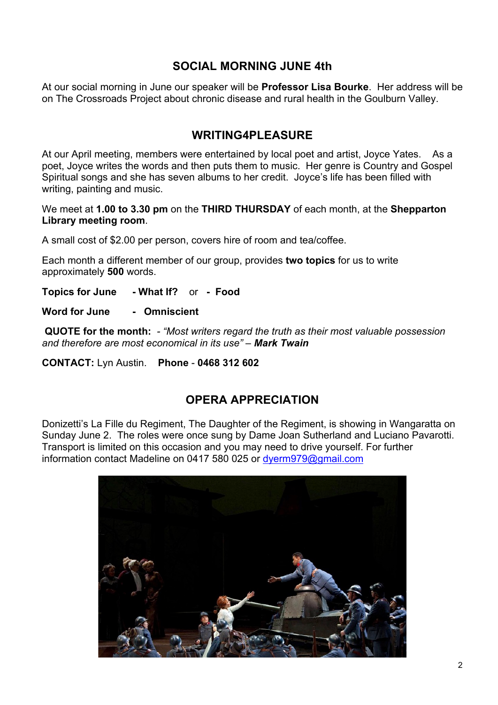#### **SOCIAL MORNING JUNE 4th**

At our social morning in June our speaker will be **Professor Lisa Bourke**. Her address will be on The Crossroads Project about chronic disease and rural health in the Goulburn Valley.

#### **WRITING4PLEASURE**

At our April meeting, members were entertained by local poet and artist, Joyce Yates. As a poet, Joyce writes the words and then puts them to music. Her genre is Country and Gospel Spiritual songs and she has seven albums to her credit. Joyce's life has been filled with writing, painting and music.

We meet at **1.00 to 3.30 pm** on the **THIRD THURSDAY** of each month, at the **Shepparton Library meeting room**.

A small cost of \$2.00 per person, covers hire of room and tea/coffee.

Each month a different member of our group, provides **two topics** for us to write approximately **500** words.

**Topics for June - What If?** or **- Food**

**Word for June - Omniscient** 

**QUOTE for the month:** *- "Most writers regard the truth as their most valuable possession and therefore are most economical in its use" – Mark Twain*

**CONTACT:** Lyn Austin. **Phone** - **0468 312 602**

#### **OPERA APPRECIATION**

Donizetti's La Fille du Regiment, The Daughter of the Regiment, is showing in Wangaratta on Sunday June 2. The roles were once sung by Dame Joan Sutherland and Luciano Pavarotti. Transport is limited on this occasion and you may need to drive yourself. For further information contact Madeline on 0417 580 025 or dyerm979@gmail.com

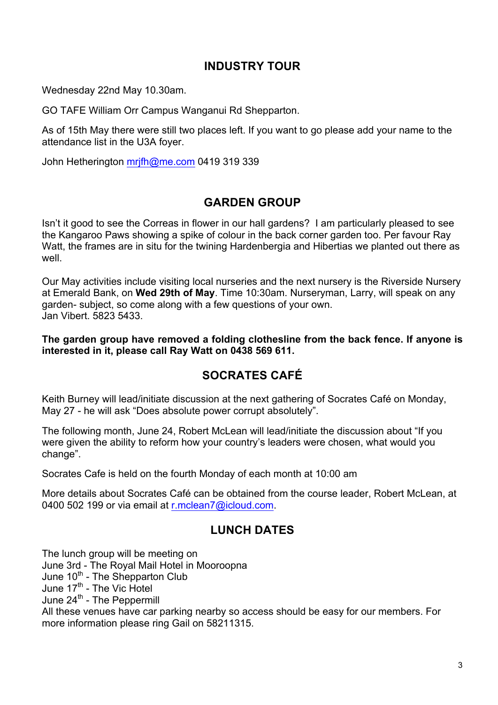#### **INDUSTRY TOUR**

Wednesday 22nd May 10.30am.

GO TAFE William Orr Campus Wanganui Rd Shepparton.

As of 15th May there were still two places left. If you want to go please add your name to the attendance list in the U3A foyer.

John Hetherington mrjfh@me.com 0419 319 339

#### **GARDEN GROUP**

Isn't it good to see the Correas in flower in our hall gardens? I am particularly pleased to see the Kangaroo Paws showing a spike of colour in the back corner garden too. Per favour Ray Watt, the frames are in situ for the twining Hardenbergia and Hibertias we planted out there as well

Our May activities include visiting local nurseries and the next nursery is the Riverside Nursery at Emerald Bank, on **Wed 29th of May**. Time 10:30am. Nurseryman, Larry, will speak on any garden- subject, so come along with a few questions of your own. Jan Vibert. 5823 5433.

**The garden group have removed a folding clothesline from the back fence. If anyone is interested in it, please call Ray Watt on 0438 569 611.**

### **SOCRATES CAFÉ**

Keith Burney will lead/initiate discussion at the next gathering of Socrates Café on Monday, May 27 - he will ask "Does absolute power corrupt absolutely".

The following month, June 24, Robert McLean will lead/initiate the discussion about "If you were given the ability to reform how your country's leaders were chosen, what would you change".

Socrates Cafe is held on the fourth Monday of each month at 10:00 am

More details about Socrates Café can be obtained from the course leader, Robert McLean, at 0400 502 199 or via email at r.mclean7@icloud.com.

#### **LUNCH DATES**

The lunch group will be meeting on June 3rd - The Royal Mail Hotel in Mooroopna June 10<sup>th</sup> - The Shepparton Club June 17<sup>th</sup> - The Vic Hotel June 24<sup>th</sup> - The Peppermill All these venues have car parking nearby so access should be easy for our members. For

more information please ring Gail on 58211315.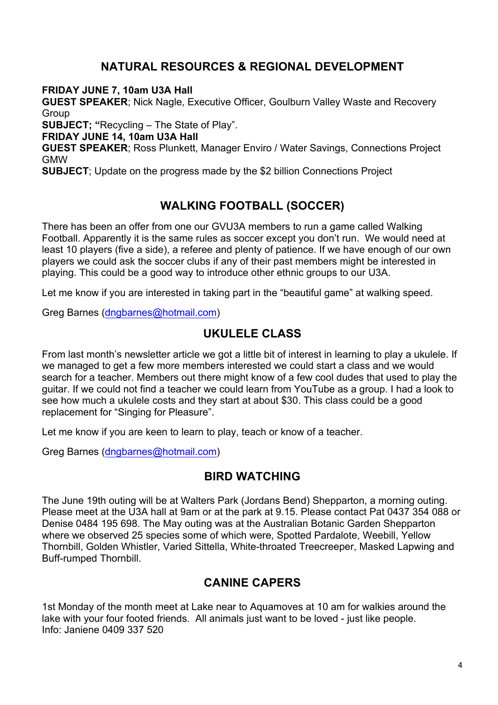#### **NATURAL RESOURCES & REGIONAL DEVELOPMENT**

**FRIDAY JUNE 7, 10am U3A Hall**

**GUEST SPEAKER**; Nick Nagle, Executive Officer, Goulburn Valley Waste and Recovery Group

**SUBJECT; "**Recycling – The State of Play".

**FRIDAY JUNE 14, 10am U3A Hall**

**GUEST SPEAKER**; Ross Plunkett, Manager Enviro / Water Savings, Connections Project GMW

**SUBJECT**; Update on the progress made by the \$2 billion Connections Project

#### **WALKING FOOTBALL (SOCCER)**

There has been an offer from one our GVU3A members to run a game called Walking Football. Apparently it is the same rules as soccer except you don't run. We would need at least 10 players (five a side), a referee and plenty of patience. If we have enough of our own players we could ask the soccer clubs if any of their past members might be interested in playing. This could be a good way to introduce other ethnic groups to our U3A.

Let me know if you are interested in taking part in the "beautiful game" at walking speed.

Greg Barnes (dngbarnes@hotmail.com)

#### **UKULELE CLASS**

From last month's newsletter article we got a little bit of interest in learning to play a ukulele. If we managed to get a few more members interested we could start a class and we would search for a teacher. Members out there might know of a few cool dudes that used to play the guitar. If we could not find a teacher we could learn from YouTube as a group. I had a look to see how much a ukulele costs and they start at about \$30. This class could be a good replacement for "Singing for Pleasure".

Let me know if you are keen to learn to play, teach or know of a teacher.

Greg Barnes (dngbarnes@hotmail.com)

#### **BIRD WATCHING**

The June 19th outing will be at Walters Park (Jordans Bend) Shepparton, a morning outing. Please meet at the U3A hall at 9am or at the park at 9.15. Please contact Pat 0437 354 088 or Denise 0484 195 698. The May outing was at the Australian Botanic Garden Shepparton where we observed 25 species some of which were, Spotted Pardalote, Weebill, Yellow Thornbill, Golden Whistler, Varied Sittella, White-throated Treecreeper, Masked Lapwing and Buff-rumped Thornbill.

#### **CANINE CAPERS**

1st Monday of the month meet at Lake near to Aquamoves at 10 am for walkies around the lake with your four footed friends. All animals just want to be loved - just like people. Info: Janiene 0409 337 520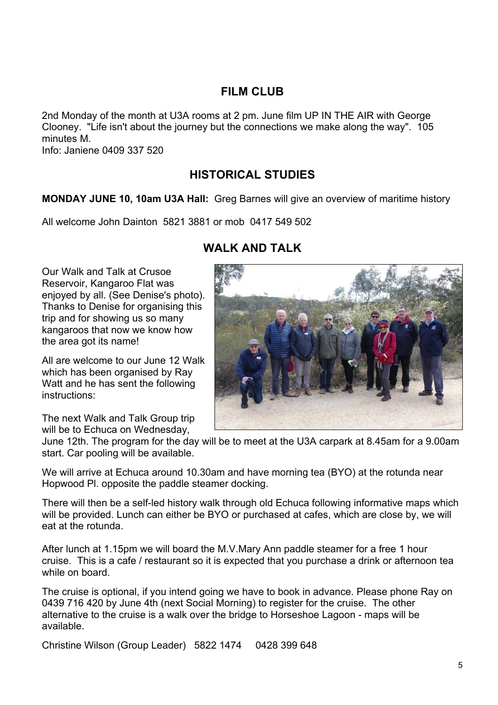#### **FILM CLUB**

2nd Monday of the month at U3A rooms at 2 pm. June film UP IN THE AIR with George Clooney. "Life isn't about the journey but the connections we make along the way". 105 minutes M.

Info: Janiene 0409 337 520

#### **HISTORICAL STUDIES**

#### **MONDAY JUNE 10, 10am U3A Hall:** Greg Barnes will give an overview of maritime history

All welcome John Dainton 5821 3881 or mob 0417 549 502

#### **WALK AND TALK**

Our Walk and Talk at Crusoe Reservoir, Kangaroo Flat was enjoyed by all. (See Denise's photo). Thanks to Denise for organising this trip and for showing us so many kangaroos that now we know how the area got its name!

All are welcome to our June 12 Walk which has been organised by Ray Watt and he has sent the following instructions:

The next Walk and Talk Group trip will be to Echuca on Wednesday,



We will arrive at Echuca around 10.30am and have morning tea (BYO) at the rotunda near Hopwood Pl. opposite the paddle steamer docking.

There will then be a self-led history walk through old Echuca following informative maps which will be provided. Lunch can either be BYO or purchased at cafes, which are close by, we will eat at the rotunda.

After lunch at 1.15pm we will board the M.V.Mary Ann paddle steamer for a free 1 hour cruise. This is a cafe / restaurant so it is expected that you purchase a drink or afternoon tea while on board.

The cruise is optional, if you intend going we have to book in advance. Please phone Ray on 0439 716 420 by June 4th (next Social Morning) to register for the cruise. The other alternative to the cruise is a walk over the bridge to Horseshoe Lagoon - maps will be available.

Christine Wilson (Group Leader) 5822 1474 0428 399 648